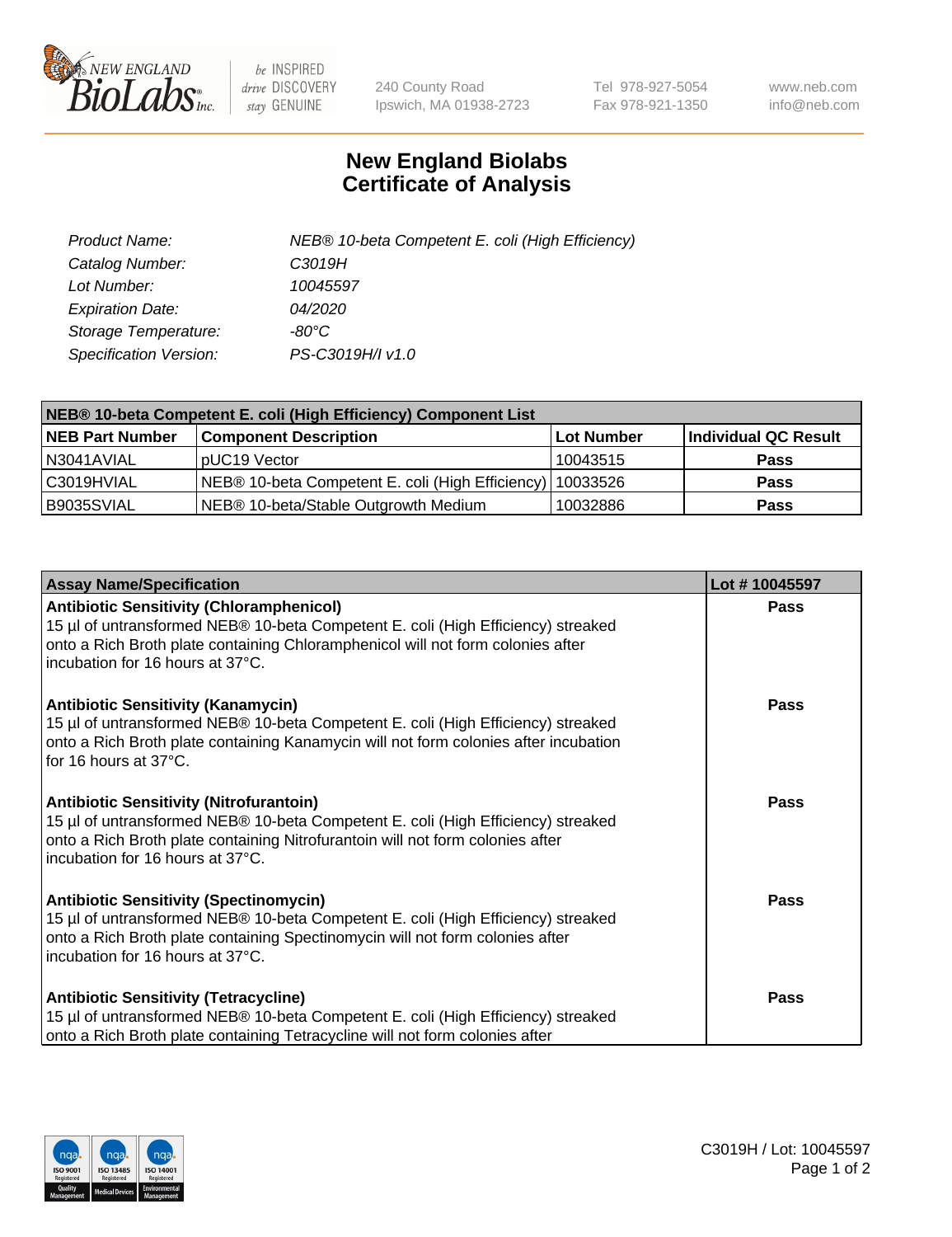

 $be$  INSPIRED drive DISCOVERY stay GENUINE

240 County Road Ipswich, MA 01938-2723 Tel 978-927-5054 Fax 978-921-1350 www.neb.com info@neb.com

## **New England Biolabs Certificate of Analysis**

| Product Name:           | NEB® 10-beta Competent E. coli (High Efficiency) |
|-------------------------|--------------------------------------------------|
| Catalog Number:         | C3019H                                           |
| Lot Number:             | 10045597                                         |
| <b>Expiration Date:</b> | <i>04/2020</i>                                   |
| Storage Temperature:    | -80°C                                            |
| Specification Version:  | PS-C3019H/I v1.0                                 |

| NEB® 10-beta Competent E. coli (High Efficiency) Component List |                                                             |            |                      |  |
|-----------------------------------------------------------------|-------------------------------------------------------------|------------|----------------------|--|
| <b>NEB Part Number</b>                                          | <b>Component Description</b>                                | Lot Number | Individual QC Result |  |
| N3041AVIAL                                                      | pUC19 Vector                                                | 10043515   | <b>Pass</b>          |  |
| C3019HVIAL                                                      | NEB® 10-beta Competent E. coli (High Efficiency)   10033526 |            | <b>Pass</b>          |  |
| B9035SVIAL                                                      | NEB® 10-beta/Stable Outgrowth Medium                        | 10032886   | <b>Pass</b>          |  |

| <b>Assay Name/Specification</b>                                                                                                                                                                                                                            | Lot #10045597 |
|------------------------------------------------------------------------------------------------------------------------------------------------------------------------------------------------------------------------------------------------------------|---------------|
| <b>Antibiotic Sensitivity (Chloramphenicol)</b><br>15 µl of untransformed NEB® 10-beta Competent E. coli (High Efficiency) streaked<br>onto a Rich Broth plate containing Chloramphenicol will not form colonies after<br>incubation for 16 hours at 37°C. | <b>Pass</b>   |
| <b>Antibiotic Sensitivity (Kanamycin)</b><br>15 µl of untransformed NEB® 10-beta Competent E. coli (High Efficiency) streaked<br>onto a Rich Broth plate containing Kanamycin will not form colonies after incubation<br>for 16 hours at 37°C.             | Pass          |
| <b>Antibiotic Sensitivity (Nitrofurantoin)</b><br>15 µl of untransformed NEB® 10-beta Competent E. coli (High Efficiency) streaked<br>onto a Rich Broth plate containing Nitrofurantoin will not form colonies after<br>incubation for 16 hours at 37°C.   | <b>Pass</b>   |
| <b>Antibiotic Sensitivity (Spectinomycin)</b><br>15 µl of untransformed NEB® 10-beta Competent E. coli (High Efficiency) streaked<br>onto a Rich Broth plate containing Spectinomycin will not form colonies after<br>incubation for 16 hours at 37°C.     | <b>Pass</b>   |
| <b>Antibiotic Sensitivity (Tetracycline)</b><br>15 µl of untransformed NEB® 10-beta Competent E. coli (High Efficiency) streaked<br>onto a Rich Broth plate containing Tetracycline will not form colonies after                                           | Pass          |